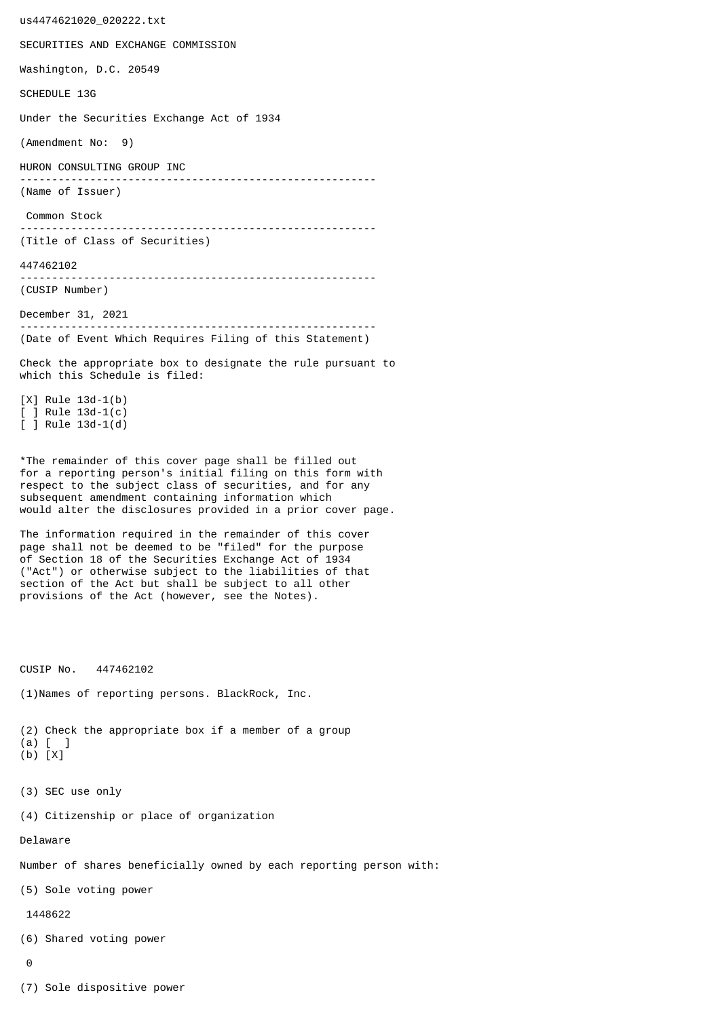us4474621020\_020222.txt SECURITIES AND EXCHANGE COMMISSION Washington, D.C. 20549 SCHEDULE 13G Under the Securities Exchange Act of 1934 (Amendment No: 9) HURON CONSULTING GROUP INC -------------------------------------------------------- (Name of Issuer) Common Stock -------------------------------------------------------- (Title of Class of Securities) 447462102 -------------------------------------------------------- (CUSIP Number) December 31, 2021 -------------------------------------------------------- (Date of Event Which Requires Filing of this Statement) Check the appropriate box to designate the rule pursuant to which this Schedule is filed: [X] Rule 13d-1(b) [ ] Rule 13d-1(c) [ ] Rule 13d-1(d) \*The remainder of this cover page shall be filled out for a reporting person's initial filing on this form with respect to the subject class of securities, and for any subsequent amendment containing information which would alter the disclosures provided in a prior cover page. The information required in the remainder of this cover page shall not be deemed to be "filed" for the purpose of Section 18 of the Securities Exchange Act of 1934 ("Act") or otherwise subject to the liabilities of that section of the Act but shall be subject to all other provisions of the Act (however, see the Notes). CUSIP No. 447462102 (1)Names of reporting persons. BlackRock, Inc. (2) Check the appropriate box if a member of a group (a) [ ] (b) [X] (3) SEC use only (4) Citizenship or place of organization Delaware Number of shares beneficially owned by each reporting person with: (5) Sole voting power 1448622 (6) Shared voting power  $\Omega$ 

(7) Sole dispositive power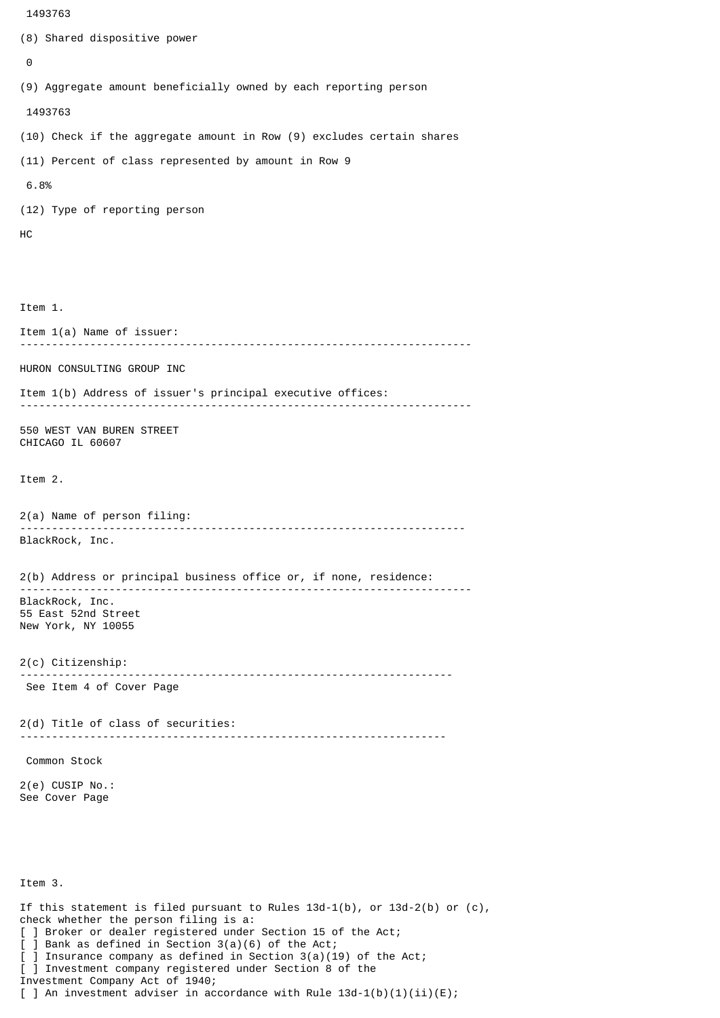```
 1493763
(8) Shared dispositive power
 \boldsymbol{\Theta}(9) Aggregate amount beneficially owned by each reporting person
  1493763
(10) Check if the aggregate amount in Row (9) excludes certain shares
(11) Percent of class represented by amount in Row 9
 6.8%
(12) Type of reporting person
HC
Item 1.
Item 1(a) Name of issuer:
            -----------------------------------------------------------------------
HURON CONSULTING GROUP INC
Item 1(b) Address of issuer's principal executive offices:
 -----------------------------------------------------------------------
550 WEST VAN BUREN STREET
CHICAGO IL 60607
Item 2.
2(a) Name of person filing:
               ----------------------------------------------------------------------
BlackRock, Inc.
2(b) Address or principal business office or, if none, residence:
 -----------------------------------------------------------------------
BlackRock, Inc.
55 East 52nd Street
New York, NY 10055
2(c) Citizenship:
                             --------------------------------------------------------------------
 See Item 4 of Cover Page
2(d) Title of class of securities:
                                        -------------------------------------------------------------------
 Common Stock
2(e) CUSIP No.:
See Cover Page
Item 3.
If this statement is filed pursuant to Rules 13d-1(b), or 13d-2(b) or (c),
check whether the person filing is a:
```

```
[ ] Broker or dealer registered under Section 15 of the Act;
```

```
[ ] Bank as defined in Section 3(a)(6) of the Act;
```
] Insurance company as defined in Section  $3(a)(19)$  of the Act;

[ ] Investment company registered under Section 8 of the Investment Company Act of 1940;

[ ] An investment adviser in accordance with Rule  $13d-1(b)(1)(ii)(E)$ ;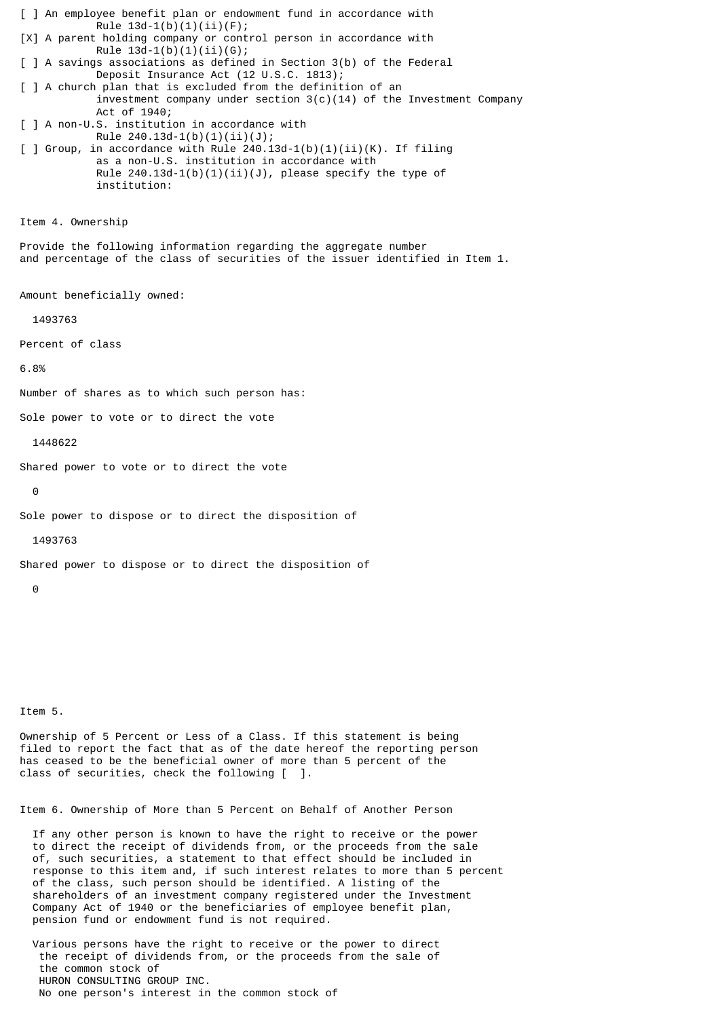[ ] An employee benefit plan or endowment fund in accordance with Rule  $13d-1(b)(1)(ii)(F);$ [X] A parent holding company or control person in accordance with Rule  $13d-1(b)(1)(ii)(G);$ [ ] A savings associations as defined in Section 3(b) of the Federal Deposit Insurance Act (12 U.S.C. 1813); [ ] A church plan that is excluded from the definition of an investment company under section  $3(c)(14)$  of the Investment Company Act of 1940; [ ] A non-U.S. institution in accordance with Rule  $240.13d-1(b)(1)(ii)(J);$  $\lceil$  ] Group, in accordance with Rule 240.13d-1(b)(1)(ii)(K). If filing as a non-U.S. institution in accordance with Rule  $240.13d-1(b)(1)(ii)(J)$ , please specify the type of institution: Item 4. Ownership Provide the following information regarding the aggregate number and percentage of the class of securities of the issuer identified in Item 1. Amount beneficially owned: 1493763 Percent of class 6.8% Number of shares as to which such person has: Sole power to vote or to direct the vote 1448622 Shared power to vote or to direct the vote  $\Theta$ Sole power to dispose or to direct the disposition of 1493763 Shared power to dispose or to direct the disposition of  $\Omega$ 

Item 5.

Ownership of 5 Percent or Less of a Class. If this statement is being filed to report the fact that as of the date hereof the reporting person has ceased to be the beneficial owner of more than 5 percent of the class of securities, check the following [ ].

Item 6. Ownership of More than 5 Percent on Behalf of Another Person

 If any other person is known to have the right to receive or the power to direct the receipt of dividends from, or the proceeds from the sale of, such securities, a statement to that effect should be included in response to this item and, if such interest relates to more than 5 percent of the class, such person should be identified. A listing of the shareholders of an investment company registered under the Investment Company Act of 1940 or the beneficiaries of employee benefit plan, pension fund or endowment fund is not required.

 Various persons have the right to receive or the power to direct the receipt of dividends from, or the proceeds from the sale of the common stock of HURON CONSULTING GROUP INC. No one person's interest in the common stock of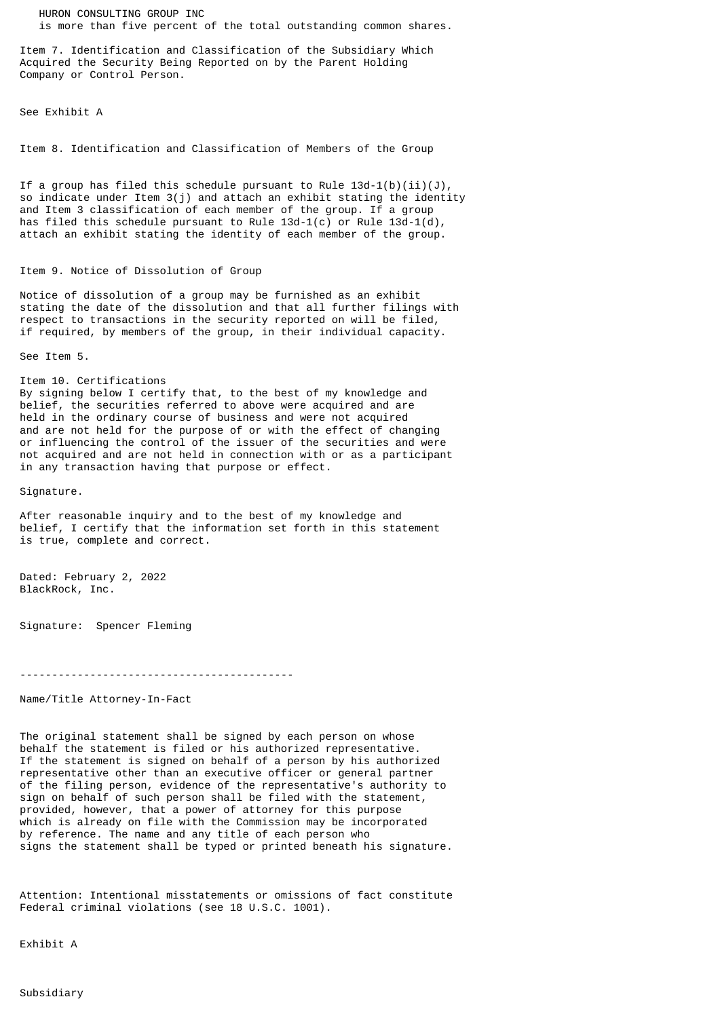HURON CONSULTING GROUP INC is more than five percent of the total outstanding common shares.

Item 7. Identification and Classification of the Subsidiary Which Acquired the Security Being Reported on by the Parent Holding Company or Control Person.

See Exhibit A

Item 8. Identification and Classification of Members of the Group

If a group has filed this schedule pursuant to Rule  $13d-1(b)(ii)(J)$ , so indicate under Item 3(j) and attach an exhibit stating the identity and Item 3 classification of each member of the group. If a group has filed this schedule pursuant to Rule  $13d-1(c)$  or Rule  $13d-1(d)$ , attach an exhibit stating the identity of each member of the group.

## Item 9. Notice of Dissolution of Group

Notice of dissolution of a group may be furnished as an exhibit stating the date of the dissolution and that all further filings with respect to transactions in the security reported on will be filed, if required, by members of the group, in their individual capacity.

See Item 5.

Item 10. Certifications By signing below I certify that, to the best of my knowledge and belief, the securities referred to above were acquired and are held in the ordinary course of business and were not acquired and are not held for the purpose of or with the effect of changing or influencing the control of the issuer of the securities and were not acquired and are not held in connection with or as a participant in any transaction having that purpose or effect.

Signature.

After reasonable inquiry and to the best of my knowledge and belief, I certify that the information set forth in this statement is true, complete and correct.

Dated: February 2, 2022 BlackRock, Inc.

Signature: Spencer Fleming

-------------------------------------------

Name/Title Attorney-In-Fact

The original statement shall be signed by each person on whose behalf the statement is filed or his authorized representative. If the statement is signed on behalf of a person by his authorized representative other than an executive officer or general partner of the filing person, evidence of the representative's authority to sign on behalf of such person shall be filed with the statement, provided, however, that a power of attorney for this purpose which is already on file with the Commission may be incorporated by reference. The name and any title of each person who signs the statement shall be typed or printed beneath his signature.

Attention: Intentional misstatements or omissions of fact constitute Federal criminal violations (see 18 U.S.C. 1001).

Exhibit A